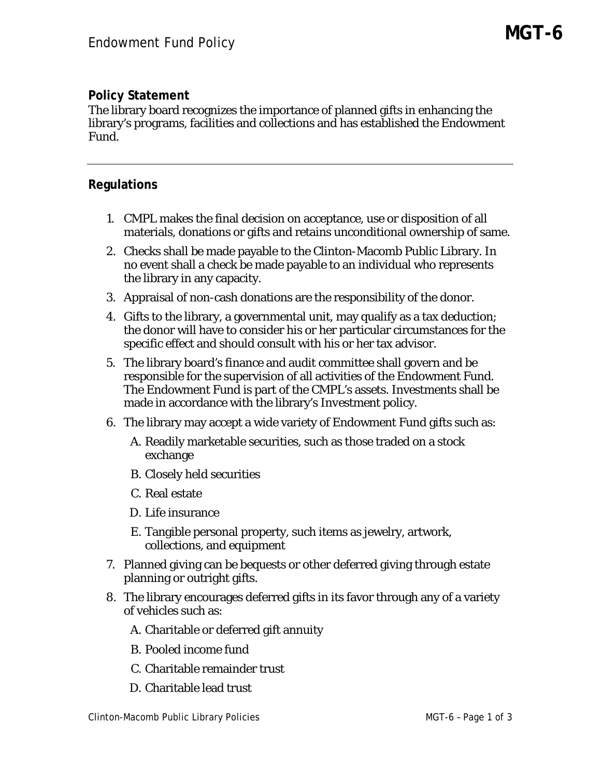## **Policy Statement**

The library board recognizes the importance of planned gifts in enhancing the library's programs, facilities and collections and has established the Endowment Fund.

## **Regulations**

- 1. CMPL makes the final decision on acceptance, use or disposition of all materials, donations or gifts and retains unconditional ownership of same.
- 2. Checks shall be made payable to the Clinton-Macomb Public Library. In no event shall a check be made payable to an individual who represents the library in any capacity.
- 3. Appraisal of non-cash donations are the responsibility of the donor.
- 4. Gifts to the library, a governmental unit, may qualify as a tax deduction; the donor will have to consider his or her particular circumstances for the specific effect and should consult with his or her tax advisor.
- 5. The library board's finance and audit committee shall govern and be responsible for the supervision of all activities of the Endowment Fund. The Endowment Fund is part of the CMPL's assets. Investments shall be made in accordance with the library's *Investment* policy.
- 6. The library may accept a wide variety of Endowment Fund gifts such as:
	- A. Readily marketable securities, such as those traded on a stock exchange
	- B. Closely held securities
	- C. Real estate
	- D. Life insurance
	- E. Tangible personal property, such items as jewelry, artwork, collections, and equipment
- 7. Planned giving can be bequests or other deferred giving through estate planning or outright gifts.
- 8. The library encourages deferred gifts in its favor through any of a variety of vehicles such as:
	- A. Charitable or deferred gift annuity
	- B. Pooled income fund
	- C. Charitable remainder trust
	- D. Charitable lead trust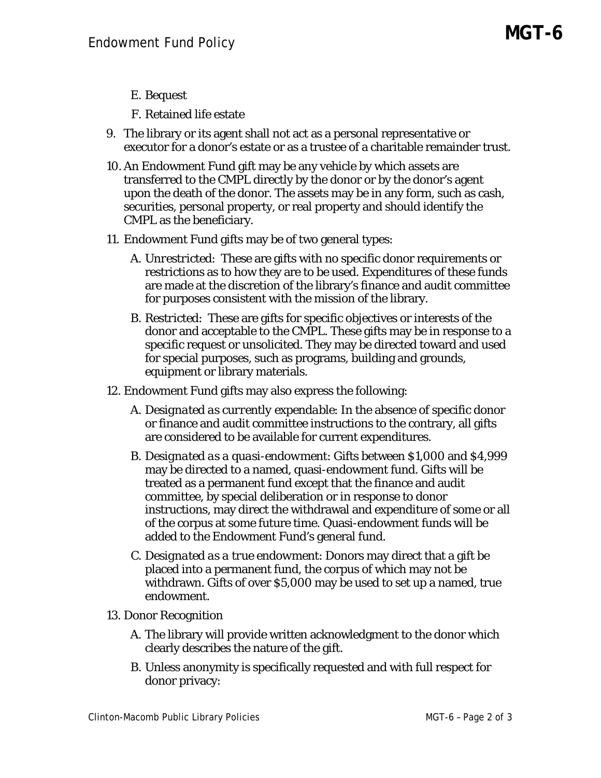- E. Bequest
- F. Retained life estate
- 9. The library or its agent shall not act as a personal representative or executor for a donor's estate or as a trustee of a charitable remainder trust.
- 10. An Endowment Fund gift may be any vehicle by which assets are transferred to the CMPL directly by the donor or by the donor's agent upon the death of the donor. The assets may be in any form, such as cash, securities, personal property, or real property and should identify the CMPL as the beneficiary.
- 11. Endowment Fund gifts may be of two general types:
	- A. *Unrestricted*: These are gifts with no specific donor requirements or restrictions as to how they are to be used. Expenditures of these funds are made at the discretion of the library's finance and audit committee for purposes consistent with the mission of the library.
	- B. *Restricted*: These are gifts for specific objectives or interests of the donor and acceptable to the CMPL. These gifts may be in response to a specific request or unsolicited. They may be directed toward and used for special purposes, such as programs, building and grounds, equipment or library materials.
- 12. Endowment Fund gifts may also express the following:
	- A. *Designated as currently expendable*: In the absence of specific donor or finance and audit committee instructions to the contrary, all gifts are considered to be available for current expenditures.
	- B. *Designated as a quasi-endowment*: Gifts between \$1,000 and \$4,999 may be directed to a named, quasi-endowment fund. Gifts will be treated as a permanent fund except that the finance and audit committee, by special deliberation or in response to donor instructions, may direct the withdrawal and expenditure of some or all of the corpus at some future time. Quasi-endowment funds will be added to the Endowment Fund's general fund.
	- C. *Designated as a true endowment*: Donors may direct that a gift be placed into a permanent fund, the corpus of which may not be withdrawn. Gifts of over \$5,000 may be used to set up a named, true endowment.
- 13. Donor Recognition
	- A. The library will provide written acknowledgment to the donor which clearly describes the nature of the gift.
	- B. Unless anonymity is specifically requested and with full respect for donor privacy: